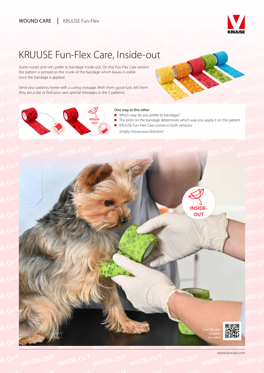

**INSIDE-OL** 

**INSIDE-OUT**

**INSIDE-OUT**

**INSIDE-OUT** 

## KRUUSE Fun-Flex Care, Inside-out

**INSIDE-OUT** Some nurses and vets prefer to bandage inside-out. On this Fun-Flex Care<br>the pattern is printed on the inside of the bandage which leaves it visible<br>once the bandage is applied Some nurses and vets prefer to bandage inside-out. On this Fun-Flex Care version<br>the pattern is printed on the inside of the bandage which leaves it visible<br>once the bandage is applied once the bandage is applied.

 $E$ -O<sup>UT</sup> **Instemal your patients home with a caring message. Wish them good luck, tell them <b>CUNT**<br>They are a star or find your own special messages in the 5 patterns. they are a star or find your own special messages in the 5 patterns.



# **INSIDE-OUT** One way or the other

- Which way do you prefer to bandage?
- **INSIDE-**<br>**INSIDE-**<br>**INSIDE- INSIDE-**<br>**INSIDE- INSIDE-**<br>**INSIDE- INSIDE-**<br>**INSIDE- INSIDE-**<br>**INSIDE- INSIDE-**Int  $\sqrt{DE}$ -O ■ KRUUSE Fun-Flex Care comes in both versions

**INSIDE-OUT**

**INSIDE-OUT**

**INSIDE-OUT** 

**INSIDE-OUT** 



www.kruuse.com